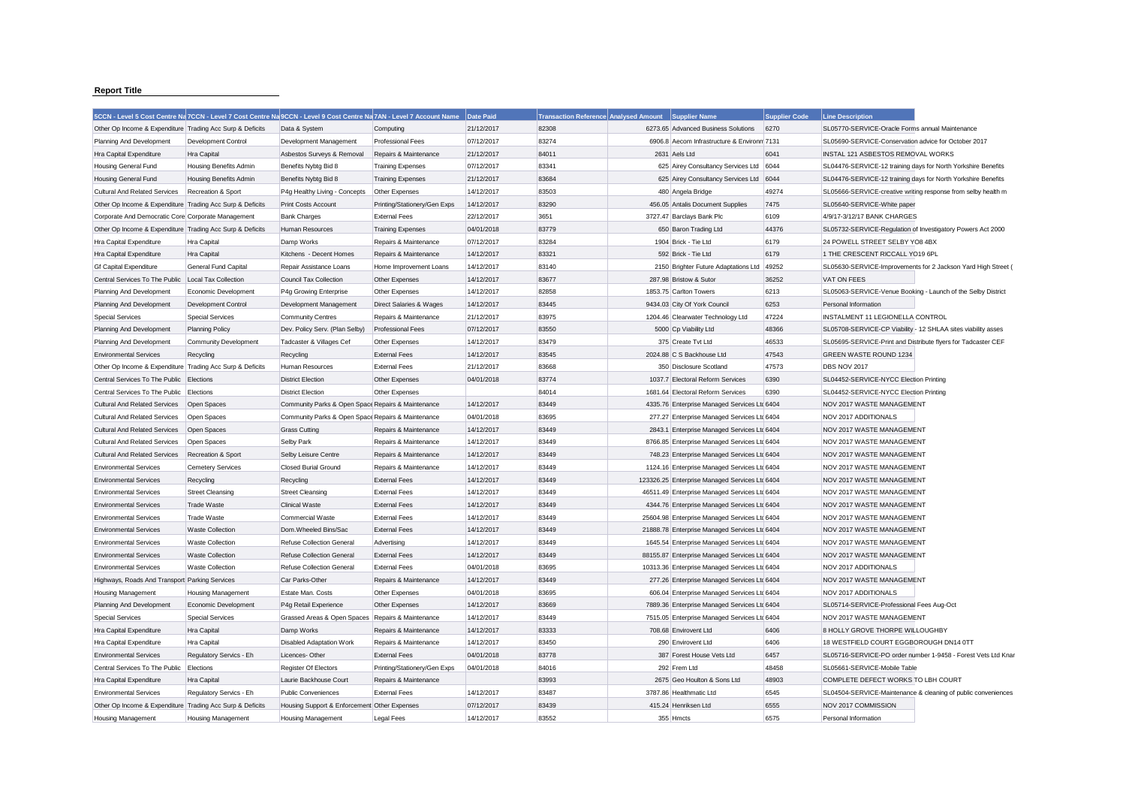## **Report Title**

|                                                           |                          | 5CCN - Level 5 Cost Centre Na 7CCN - Level 7 Cost Centre Na 9CCN - Level 9 Cost Centre Na 7AN - Level 7 Account Name |                              | Date Paid  | Transaction Reference Analysed Amount Supplier Name |                                                | <b>Supplier Code</b> | <b>Line Description</b>                                       |                                                               |
|-----------------------------------------------------------|--------------------------|----------------------------------------------------------------------------------------------------------------------|------------------------------|------------|-----------------------------------------------------|------------------------------------------------|----------------------|---------------------------------------------------------------|---------------------------------------------------------------|
| Other Op Income & Expenditure Trading Acc Surp & Deficits |                          | Data & System                                                                                                        | Computing                    | 21/12/2017 | 82308                                               | 6273.65 Advanced Business Solutions            | 6270                 | SL05770-SERVICE-Oracle Forms annual Maintenance               |                                                               |
| Planning And Development                                  | Development Control      | Development Management                                                                                               | <b>Professional Fees</b>     | 07/12/2017 | 83274                                               | 6906.8 Aecom Infrastructure & Environm 7131    |                      | SL05690-SERVICE-Conservation advice for October 2017          |                                                               |
| Hra Capital Expenditure                                   | Hra Capital              | Asbestos Surveys & Removal                                                                                           | Repairs & Maintenance        | 21/12/2017 | 84011                                               | 2631 Aels Ltd                                  | 6041                 | INSTAL 121 ASBESTOS REMOVAL WORKS                             |                                                               |
| Housing General Fund                                      | Housing Benefits Admin   | Benefits Nybtg Bid 8                                                                                                 | <b>Training Expenses</b>     | 07/12/2017 | 83341                                               | 625 Airey Consultancy Services Ltd             | 6044                 | SL04476-SERVICE-12 training days for North Yorkshire Benefits |                                                               |
| <b>Housing General Fund</b>                               | Housing Benefits Admin   | Benefits Nybtg Bid 8                                                                                                 | <b>Training Expenses</b>     | 21/12/2017 | 83684                                               | 625 Airey Consultancy Services Ltd             | 6044                 | SL04476-SERVICE-12 training days for North Yorkshire Benefits |                                                               |
| Cultural And Related Services                             | Recreation & Sport       | P4g Healthy Living - Concepts                                                                                        | Other Expenses               | 14/12/2017 | 83503                                               | 480 Angela Bridge                              | 49274                | SL05666-SERVICE-creative writing response from selby health m |                                                               |
| Other Op Income & Expenditure Trading Acc Surp & Deficits |                          | Print Costs Account                                                                                                  | Printing/Stationery/Gen Exps | 14/12/2017 | 83290                                               | 456.05 Antalis Document Supplies               | 7475                 | SL05640-SERVICE-White paper                                   |                                                               |
| Corporate And Democratic Core Corporate Management        |                          | <b>Bank Charges</b>                                                                                                  | <b>External Fees</b>         | 22/12/2017 | 3651                                                | 3727.47 Barclays Bank Plc                      | 6109                 | 4/9/17-3/12/17 BANK CHARGES                                   |                                                               |
| Other Op Income & Expenditure Trading Acc Surp & Deficits |                          | Human Resources                                                                                                      | <b>Training Expenses</b>     | 04/01/2018 | 83779                                               | 650 Baron Trading Ltd                          | 44376                | SL05732-SERVICE-Regulation of Investigatory Powers Act 2000   |                                                               |
| Hra Capital Expenditure                                   | Hra Capital              | Damp Works                                                                                                           | Repairs & Maintenance        | 07/12/2017 | 83284                                               | 1904 Brick - Tie Ltd                           | 6179                 | 24 POWELL STREET SELBY YO8 4BX                                |                                                               |
| Hra Capital Expenditure                                   | <b>Hra Capital</b>       | Kitchens - Decent Homes                                                                                              | Repairs & Maintenance        | 14/12/2017 | 83321                                               | 592 Brick - Tie Ltd                            | 6179                 | 1 THE CRESCENT RICCALL YO19 6PL                               |                                                               |
| <b>Gf Capital Expenditure</b>                             | General Fund Capital     | Repair Assistance Loans                                                                                              | Home Improvement Loans       | 14/12/2017 | 83140                                               | 2150 Brighter Future Adaptations Ltd           | 49252                |                                                               | SL05630-SERVICE-Improvements for 2 Jackson Yard High Street ( |
| Central Services To The Public                            | Local Tax Collection     | <b>Council Tax Collection</b>                                                                                        | Other Expenses               | 14/12/2017 | 83677                                               | 287.98 Bristow & Sutor                         | 36252                | VAT ON FEES                                                   |                                                               |
| Planning And Development                                  | Economic Development     | P4g Growing Enterprise                                                                                               | Other Expenses               | 14/12/2017 | 82858                                               | 1853.75 Carlton Towers                         | 6213                 | SL05063-SERVICE-Venue Booking - Launch of the Selby District  |                                                               |
| Planning And Development                                  | Development Control      | Development Management                                                                                               | Direct Salaries & Wages      | 14/12/2017 | 83445                                               | 9434.03 City Of York Council                   | 6253                 | Personal Information                                          |                                                               |
| <b>Special Services</b>                                   | <b>Special Services</b>  | <b>Community Centres</b>                                                                                             | Repairs & Maintenance        | 21/12/2017 | 83975                                               | 1204.46 Clearwater Technology Ltd              | 47224                | INSTALMENT 11 LEGIONELLA CONTROL                              |                                                               |
| Planning And Development                                  | <b>Planning Policy</b>   | Dev. Policy Serv. (Plan Selby)                                                                                       | <b>Professional Fees</b>     | 07/12/2017 | 83550                                               | 5000 Cp Viability Ltd                          | 48366                | SL05708-SERVICE-CP Viability - 12 SHLAA sites viability asses |                                                               |
| Planning And Development                                  | Community Development    | Tadcaster & Villages Cef                                                                                             | Other Expenses               | 14/12/2017 | 83479                                               | 375 Create Tvt Ltd                             | 46533                | SL05695-SERVICE-Print and Distribute flyers for Tadcaster CEF |                                                               |
| <b>Environmental Services</b>                             | Recycling                | Recycling                                                                                                            | <b>External Fees</b>         | 14/12/2017 | 83545                                               | 2024.88 C S Backhouse Ltd                      | 47543                | <b>GREEN WASTE ROUND 1234</b>                                 |                                                               |
| Other Op Income & Expenditure Trading Acc Surp & Deficits |                          | Human Resources                                                                                                      | <b>External Fees</b>         | 21/12/2017 | 83668                                               | 350 Disclosure Scotland                        | 47573                | DBS NOV 2017                                                  |                                                               |
| Central Services To The Public                            | Elections                | <b>District Election</b>                                                                                             | Other Expenses               | 04/01/2018 | 83774                                               | 1037.7 Electoral Reform Services               | 6390                 | SL04452-SERVICE-NYCC Election Printing                        |                                                               |
| Central Services To The Public                            | Elections                | <b>District Election</b>                                                                                             | Other Expenses               |            | 84014                                               | 1681.64 Electoral Reform Services              | 6390                 | SL04452-SERVICE-NYCC Election Printing                        |                                                               |
| <b>Cultural And Related Services</b>                      | Open Spaces              | Community Parks & Open Space Repairs & Maintenance                                                                   |                              | 14/12/2017 | 83449                                               | 4335.76 Enterprise Managed Services Ltc 6404   |                      | NOV 2017 WASTE MANAGEMENT                                     |                                                               |
| <b>Cultural And Related Services</b>                      | Open Spaces              | Community Parks & Open Space Repairs & Maintenance                                                                   |                              | 04/01/2018 | 83695                                               | 277.27 Enterprise Managed Services Ltd 6404    |                      | NOV 2017 ADDITIONALS                                          |                                                               |
| <b>Cultural And Related Services</b>                      | Open Spaces              | <b>Grass Cutting</b>                                                                                                 | Repairs & Maintenance        | 14/12/2017 | 83449                                               | 2843.1 Enterprise Managed Services Ltd 6404    |                      | NOV 2017 WASTE MANAGEMENT                                     |                                                               |
| <b>Cultural And Related Services</b>                      | Open Spaces              | <b>Selby Park</b>                                                                                                    | Repairs & Maintenance        | 14/12/2017 | 83449                                               | 8766.85 Enterprise Managed Services Ltd 6404   |                      | NOV 2017 WASTE MANAGEMENT                                     |                                                               |
| <b>Cultural And Related Services</b>                      | Recreation & Sport       | Selby Leisure Centre                                                                                                 | Repairs & Maintenance        | 14/12/2017 | 83449                                               | 748.23 Enterprise Managed Services Ltc 6404    |                      | NOV 2017 WASTE MANAGEMENT                                     |                                                               |
| <b>Environmental Services</b>                             | <b>Cemetery Services</b> | <b>Closed Burial Ground</b>                                                                                          | Repairs & Maintenance        | 14/12/2017 | 83449                                               | 1124.16 Enterprise Managed Services Ltd 6404   |                      | NOV 2017 WASTE MANAGEMENT                                     |                                                               |
| <b>Environmental Services</b>                             | Recycling                | Recycling                                                                                                            | <b>External Fees</b>         | 14/12/2017 | 83449                                               | 123326.25 Enterprise Managed Services Ltd 6404 |                      | NOV 2017 WASTE MANAGEMENT                                     |                                                               |
| <b>Environmental Services</b>                             | <b>Street Cleansing</b>  | <b>Street Cleansing</b>                                                                                              | <b>External Fees</b>         | 14/12/2017 | 83449                                               | 46511.49 Enterprise Managed Services Ltd 6404  |                      | NOV 2017 WASTE MANAGEMENT                                     |                                                               |
| <b>Environmental Services</b>                             | <b>Trade Waste</b>       | <b>Clinical Waste</b>                                                                                                | <b>External Fees</b>         | 14/12/2017 | 83449                                               | 4344.76 Enterprise Managed Services Ltc 6404   |                      | NOV 2017 WASTE MANAGEMENT                                     |                                                               |
| <b>Environmental Services</b>                             | Trade Waste              | <b>Commercial Waste</b>                                                                                              | <b>External Fees</b>         | 14/12/2017 | 83449                                               | 25604.98 Enterprise Managed Services Ltd 6404  |                      | NOV 2017 WASTE MANAGEMENT                                     |                                                               |
| <b>Environmental Services</b>                             | <b>Waste Collection</b>  | Dom.Wheeled Bins/Sac                                                                                                 | <b>External Fees</b>         | 14/12/2017 | 83449                                               | 21888.78 Enterprise Managed Services Ltd 6404  |                      | NOV 2017 WASTE MANAGEMENT                                     |                                                               |
| <b>Environmental Services</b>                             | <b>Waste Collection</b>  | <b>Refuse Collection General</b>                                                                                     | Advertising                  | 14/12/2017 | 83449                                               | 1645.54 Enterprise Managed Services Ltd 6404   |                      | NOV 2017 WASTE MANAGEMENT                                     |                                                               |
| <b>Environmental Services</b>                             | <b>Waste Collection</b>  | <b>Refuse Collection General</b>                                                                                     | <b>External Fees</b>         | 14/12/2017 | 83449                                               | 88155.87 Enterprise Managed Services Ltc 6404  |                      | NOV 2017 WASTE MANAGEMENT                                     |                                                               |
| <b>Environmental Services</b>                             | <b>Waste Collection</b>  | <b>Refuse Collection General</b>                                                                                     | <b>External Fees</b>         | 04/01/2018 | 83695                                               | 10313.36 Enterprise Managed Services Ltd 6404  |                      | NOV 2017 ADDITIONALS                                          |                                                               |
| Highways, Roads And Transport Parking Services            |                          | Car Parks-Other                                                                                                      | Repairs & Maintenance        | 14/12/2017 | 83449                                               | 277.26 Enterprise Managed Services Ltd 6404    |                      | NOV 2017 WASTE MANAGEMENT                                     |                                                               |
| Housing Management                                        | Housing Management       | Estate Man. Costs                                                                                                    | Other Expenses               | 04/01/2018 | 83695                                               | 606.04 Enterprise Managed Services Ltd 6404    |                      | NOV 2017 ADDITIONALS                                          |                                                               |
| Planning And Development                                  | Economic Development     | P4g Retail Experience                                                                                                | Other Expenses               | 14/12/2017 | 83669                                               | 7889.36 Enterprise Managed Services Ltc 6404   |                      | SL05714-SERVICE-Professional Fees Aug-Oct                     |                                                               |
| <b>Special Services</b>                                   | <b>Special Services</b>  | Grassed Areas & Open Spaces                                                                                          | Repairs & Maintenance        | 14/12/2017 | 83449                                               | 7515.05 Enterprise Managed Services Ltd 6404   |                      | NOV 2017 WASTE MANAGEMENT                                     |                                                               |
| Hra Capital Expenditure                                   | Hra Capital              | Damp Works                                                                                                           | Repairs & Maintenance        | 14/12/2017 | 83333                                               | 708.68 Envirovent Ltd                          | 6406                 | 8 HOLLY GROVE THORPE WILLOUGHBY                               |                                                               |
| Hra Capital Expenditure                                   | Hra Capital              | <b>Disabled Adaptation Work</b>                                                                                      | Repairs & Maintenance        | 14/12/2017 | 83450                                               | 290 Envirovent Ltd                             | 6406                 | 18 WESTFIELD COURT EGGBOROUGH DN14 0TT                        |                                                               |
| <b>Environmental Services</b>                             | Regulatory Servics - Eh  | Licences-Other                                                                                                       | <b>External Fees</b>         | 04/01/2018 | 83778                                               | 387 Forest House Vets Ltd                      | 6457                 |                                                               | SL05716-SERVICE-PO order number 1-9458 - Forest Vets Ltd Knar |
| Central Services To The Public                            | Elections                | Register Of Electors                                                                                                 | Printing/Stationery/Gen Exps | 04/01/2018 | 84016                                               | 292 Frem Ltd                                   | 48458                | SL05661-SERVICE-Mobile Table                                  |                                                               |
| Hra Capital Expenditure                                   | Hra Capital              | Laurie Backhouse Court                                                                                               | Repairs & Maintenance        |            | 83993                                               | 2675 Geo Houlton & Sons Ltd                    | 48903                | COMPLETE DEFECT WORKS TO LBH COURT                            |                                                               |
| <b>Environmental Services</b>                             | Regulatory Servics - Eh  | <b>Public Conveniences</b>                                                                                           | <b>External Fees</b>         | 14/12/2017 | 83487                                               | 3787.86 Healthmatic Ltd                        | 6545                 |                                                               | SL04504-SERVICE-Maintenance & cleaning of public conveniences |
| Other Op Income & Expenditure Trading Acc Surp & Deficits |                          | Housing Support & Enforcement Other Expenses                                                                         |                              | 07/12/2017 | 83439                                               | 415.24 Henriksen Ltd                           | 6555                 | NOV 2017 COMMISSION                                           |                                                               |
| <b>Housing Management</b>                                 | Housing Management       | Housing Management                                                                                                   | Legal Fees                   | 14/12/2017 | 83552                                               | 355 Hmcts                                      | 6575                 | Personal Information                                          |                                                               |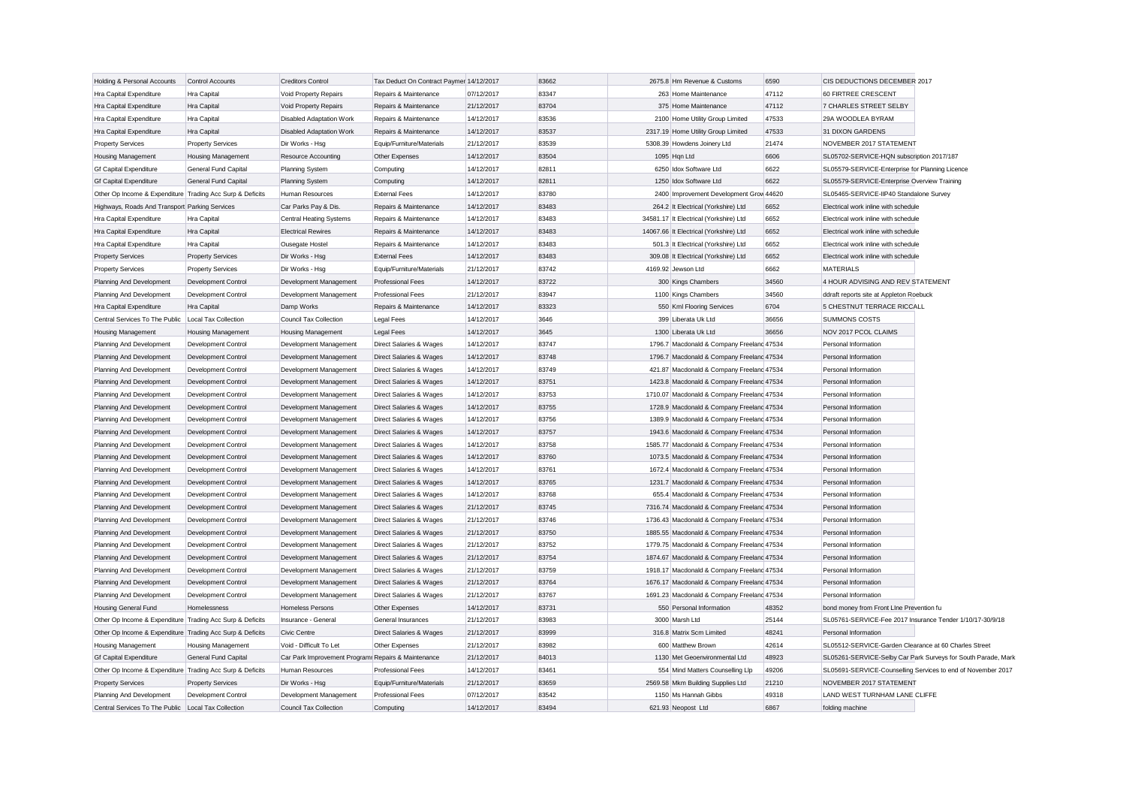| Holding & Personal Accounts                               | Control Accounts            | <b>Creditors Control</b>                            | Tax Deduct On Contract Paymer 14/12/2017 |            | 83662 | 2675.8 Hm Revenue & Customs                | 6590  | CIS DEDUCTIONS DECEMBER 2017                              |                                                               |
|-----------------------------------------------------------|-----------------------------|-----------------------------------------------------|------------------------------------------|------------|-------|--------------------------------------------|-------|-----------------------------------------------------------|---------------------------------------------------------------|
| Hra Capital Expenditure                                   | Hra Capital                 | Void Property Repairs                               | Repairs & Maintenance                    | 07/12/2017 | 83347 | 263 Home Maintenance                       | 47112 | 60 FIRTREE CRESCENT                                       |                                                               |
| Hra Capital Expenditure                                   | Hra Capital                 | Void Property Repairs                               | Repairs & Maintenance                    | 21/12/2017 | 83704 | 375 Home Maintenance                       | 47112 | 7 CHARLES STREET SELBY                                    |                                                               |
| Hra Capital Expenditure                                   | Hra Capital                 | <b>Disabled Adaptation Work</b>                     | Repairs & Maintenance                    | 14/12/2017 | 83536 | 2100 Home Utility Group Limited            | 47533 | 29A WOODLEA BYRAM                                         |                                                               |
| Hra Capital Expenditure                                   | Hra Capital                 | <b>Disabled Adaptation Work</b>                     | Repairs & Maintenance                    | 14/12/2017 | 83537 | 2317.19 Home Utility Group Limited         | 47533 | 31 DIXON GARDENS                                          |                                                               |
| <b>Property Services</b>                                  | <b>Property Services</b>    | Dir Works - Hsg                                     | Equip/Furniture/Materials                | 21/12/2017 | 83539 | 5308.39 Howdens Joinery Ltd                | 21474 | NOVEMBER 2017 STATEMENT                                   |                                                               |
| <b>Housing Management</b>                                 | <b>Housing Management</b>   | Resource Accounting                                 | Other Expenses                           | 14/12/2017 | 83504 | 1095 Hqn Ltd                               | 6606  | SL05702-SERVICE-HQN subscription 2017/187                 |                                                               |
| <b>Gf Capital Expenditure</b>                             | General Fund Capital        | Planning System                                     | Computing                                | 14/12/2017 | 82811 | 6250 Idox Software Ltd                     | 6622  | SL05579-SERVICE-Enterprise for Planning Licence           |                                                               |
| <b>Gf Capital Expenditure</b>                             | <b>General Fund Capital</b> | <b>Planning System</b>                              | Computing                                | 14/12/2017 | 82811 | 1250 Idox Software Ltd                     | 6622  | SL05579-SERVICE-Enterprise Overview Training              |                                                               |
| Other Op Income & Expenditure Trading Acc Surp & Deficits |                             | <b>Human Resources</b>                              | <b>External Fees</b>                     | 14/12/2017 | 83780 | 2400 Improvement Development Grow 44620    |       | SL05465-SERVICE-IIP40 Standalone Survey                   |                                                               |
| Highways, Roads And Transport Parking Services            |                             | Car Parks Pay & Dis.                                | Repairs & Maintenance                    | 14/12/2017 | 83483 | 264.2 It Electrical (Yorkshire) Ltd        | 6652  | Electrical work inline with schedule                      |                                                               |
| Hra Capital Expenditure                                   | <b>Hra Capital</b>          | Central Heating Systems                             | Repairs & Maintenance                    | 14/12/2017 | 83483 | 34581.17 It Electrical (Yorkshire) Ltd     | 6652  | Electrical work inline with schedule                      |                                                               |
| Hra Capital Expenditure                                   | <b>Hra Capital</b>          | <b>Electrical Rewires</b>                           | Repairs & Maintenance                    | 14/12/2017 | 83483 | 14067.66 It Electrical (Yorkshire) Ltd     | 6652  | Electrical work inline with schedule                      |                                                               |
| Hra Capital Expenditure                                   | Hra Capital                 | Ousegate Hostel                                     | Repairs & Maintenance                    | 14/12/2017 | 83483 | 501.3 It Electrical (Yorkshire) Ltd        | 6652  | Electrical work inline with schedule                      |                                                               |
| <b>Property Services</b>                                  | <b>Property Services</b>    | Dir Works - Hsg                                     | <b>External Fees</b>                     | 14/12/2017 | 83483 | 309.08 It Electrical (Yorkshire) Ltd       | 6652  | Electrical work inline with schedule                      |                                                               |
| <b>Property Services</b>                                  | <b>Property Services</b>    | Dir Works - Hsg                                     | Equip/Furniture/Materials                | 21/12/2017 | 83742 | 4169.92 Jewson Ltd                         | 6662  | <b>MATERIALS</b>                                          |                                                               |
| Planning And Development                                  | Development Control         | Development Management                              | <b>Professional Fees</b>                 | 14/12/2017 | 83722 | 300 Kings Chambers                         | 34560 | 4 HOUR ADVISING AND REV STATEMENT                         |                                                               |
| Planning And Development                                  | Development Control         | Development Management                              | <b>Professional Fees</b>                 | 21/12/2017 | 83947 | 1100 Kings Chambers                        | 34560 | ddraft reports site at Appleton Roebuck                   |                                                               |
| Hra Capital Expenditure                                   | Hra Capital                 | Damp Works                                          | Repairs & Maintenance                    | 14/12/2017 | 83323 | 550 Kml Flooring Services                  | 6704  | 5 CHESTNUT TERRACE RICCALL                                |                                                               |
| Central Services To The Public   Local Tax Collection     |                             | Council Tax Collection                              | <b>Legal Fees</b>                        | 14/12/2017 | 3646  | 399 Liberata Uk Ltd                        | 36656 | <b>SUMMONS COSTS</b>                                      |                                                               |
| <b>Housing Management</b>                                 | <b>Housing Management</b>   | <b>Housing Management</b>                           | Legal Fees                               | 14/12/2017 | 3645  | 1300 Liberata Uk Ltd                       | 36656 | NOV 2017 PCOL CLAIMS                                      |                                                               |
| Planning And Development                                  | Development Control         | Development Management                              | Direct Salaries & Wages                  | 14/12/2017 | 83747 | 1796.7 Macdonald & Company Freeland 47534  |       | Personal Information                                      |                                                               |
| Planning And Development                                  | Development Control         | Development Management                              | Direct Salaries & Wages                  | 14/12/2017 | 83748 | 1796.7 Macdonald & Company Freelanc 47534  |       | Personal Information                                      |                                                               |
| Planning And Development                                  | Development Control         | Development Management                              | Direct Salaries & Wages                  | 14/12/2017 | 83749 | 421.87 Macdonald & Company Freeland 47534  |       | Personal Information                                      |                                                               |
| Planning And Development                                  | Development Control         | Development Management                              | Direct Salaries & Wages                  | 14/12/2017 | 83751 | 1423.8 Macdonald & Company Freeland 47534  |       | Personal Information                                      |                                                               |
| Planning And Development                                  | Development Control         | Development Management                              | Direct Salaries & Wages                  | 14/12/2017 | 83753 | 1710.07 Macdonald & Company Freeland 47534 |       | Personal Information                                      |                                                               |
| Planning And Development                                  | Development Control         | Development Management                              | Direct Salaries & Wages                  | 14/12/2017 | 83755 | 1728.9 Macdonald & Company Freelanc 47534  |       | Personal Information                                      |                                                               |
| Planning And Development                                  | Development Control         | Development Management                              | Direct Salaries & Wages                  | 14/12/2017 | 83756 | 1389.9 Macdonald & Company Freeland 47534  |       | Personal Information                                      |                                                               |
| Planning And Development                                  | Development Control         | Development Management                              | Direct Salaries & Wages                  | 14/12/2017 | 83757 | 1943.6 Macdonald & Company Freeland 47534  |       | Personal Information                                      |                                                               |
| Planning And Development                                  | Development Control         | Development Management                              | Direct Salaries & Wages                  | 14/12/2017 | 83758 | 1585.77 Macdonald & Company Freeland 47534 |       | Personal Information                                      |                                                               |
| Planning And Development                                  | Development Control         | Development Management                              | Direct Salaries & Wages                  | 14/12/2017 | 83760 | 1073.5 Macdonald & Company Freelanc 47534  |       | Personal Information                                      |                                                               |
| Planning And Development                                  | Development Control         | Development Management                              | Direct Salaries & Wages                  | 14/12/2017 | 83761 | 1672.4 Macdonald & Company Freeland 47534  |       | Personal Information                                      |                                                               |
| Planning And Development                                  | Development Control         | Development Management                              | Direct Salaries & Wages                  | 14/12/2017 | 83765 | 1231.7 Macdonald & Company Freelanc 47534  |       | Personal Information                                      |                                                               |
| Planning And Development                                  | Development Control         | Development Management                              | Direct Salaries & Wages                  | 14/12/2017 | 83768 | 655.4 Macdonald & Company Freelanc 47534   |       | Personal Information                                      |                                                               |
| Planning And Development                                  | Development Control         | Development Management                              | Direct Salaries & Wages                  | 21/12/2017 | 83745 | 7316.74 Macdonald & Company Freelanc 47534 |       | Personal Information                                      |                                                               |
| Planning And Development                                  | <b>Development Control</b>  | Development Management                              | Direct Salaries & Wages                  | 21/12/2017 | 83746 | 1736.43 Macdonald & Company Freeland 47534 |       | Personal Information                                      |                                                               |
| Planning And Development                                  | Development Control         | Development Management                              | Direct Salaries & Wages                  | 21/12/2017 | 83750 | 1885.55 Macdonald & Company Freeland 47534 |       | Personal Information                                      |                                                               |
| Planning And Development                                  | Development Control         | Development Management                              | Direct Salaries & Wages                  | 21/12/2017 | 83752 | 1779.75 Macdonald & Company Freeland 47534 |       | Personal Information                                      |                                                               |
| Planning And Development                                  | Development Control         | Development Management                              | Direct Salaries & Wages                  | 21/12/2017 | 83754 | 1874.67 Macdonald & Company Freeland 47534 |       | Personal Information                                      |                                                               |
| Planning And Development                                  | <b>Development Control</b>  | Development Management                              | Direct Salaries & Wages                  | 21/12/2017 | 83759 | 1918.17 Macdonald & Company Freeland 47534 |       | Personal Information                                      |                                                               |
| Planning And Development                                  | Development Control         | Development Management                              | Direct Salaries & Wages                  | 21/12/2017 | 83764 | 1676.17 Macdonald & Company Freeland 47534 |       | Personal Information                                      |                                                               |
| Planning And Development                                  | Development Control         | Development Management                              | Direct Salaries & Wages                  | 21/12/2017 | 83767 | 1691.23 Macdonald & Company Freeland 47534 |       | Personal Information                                      |                                                               |
| <b>Housing General Fund</b>                               | Homelessness                | Homeless Persons                                    | Other Expenses                           | 14/12/2017 | 83731 | 550 Personal Information                   | 48352 | bond money from Front Line Prevention fu                  |                                                               |
| Other Op Income & Expenditure Trading Acc Surp & Deficits |                             | Insurance - General                                 | General Insurances                       | 21/12/2017 | 83983 | 3000 Marsh Ltd                             | 25144 | SL05761-SERVICE-Fee 2017 Insurance Tender 1/10/17-30/9/18 |                                                               |
| Other Op Income & Expenditure Trading Acc Surp & Deficits |                             | Civic Centre                                        | Direct Salaries & Wages                  | 21/12/2017 | 83999 | 316.8 Matrix Scm Limited                   | 48241 | Personal Information                                      |                                                               |
| <b>Housing Management</b>                                 | <b>Housing Management</b>   | Void - Difficult To Let                             | Other Expenses                           | 21/12/2017 | 83982 | 600 Matthew Brown                          | 42614 | SL05512-SERVICE-Garden Clearance at 60 Charles Street     |                                                               |
| <b>Gf Capital Expenditure</b>                             | General Fund Capital        | Car Park Improvement Program: Repairs & Maintenance |                                          | 21/12/2017 | 84013 | 1130 Met Geoenvironmental Ltd              | 48923 |                                                           | SL05261-SERVICE-Selby Car Park Surveys for South Parade, Mark |
| Other Op Income & Expenditure Trading Acc Surp & Deficits |                             | Human Resources                                     | <b>Professional Fees</b>                 | 14/12/2017 | 83461 | 554 Mind Matters Counselling Llp           | 49206 |                                                           | SL05691-SERVICE-Counselling Services to end of November 2017  |
| <b>Property Services</b>                                  | <b>Property Services</b>    | Dir Works - Hsg                                     | Equip/Furniture/Materials                | 21/12/2017 | 83659 | 2569.58 Mkm Building Supplies Ltd          | 21210 | NOVEMBER 2017 STATEMENT                                   |                                                               |
| Planning And Development                                  | Development Control         | Development Management                              | <b>Professional Fees</b>                 | 07/12/2017 | 83542 | 1150 Ms Hannah Gibbs                       | 49318 | LAND WEST TURNHAM LANE CLIFFE                             |                                                               |
| Central Services To The Public Local Tax Collection       |                             | Council Tax Collection                              | Computing                                | 14/12/2017 | 83494 | 621.93 Neopost Ltd                         | 6867  | folding machine                                           |                                                               |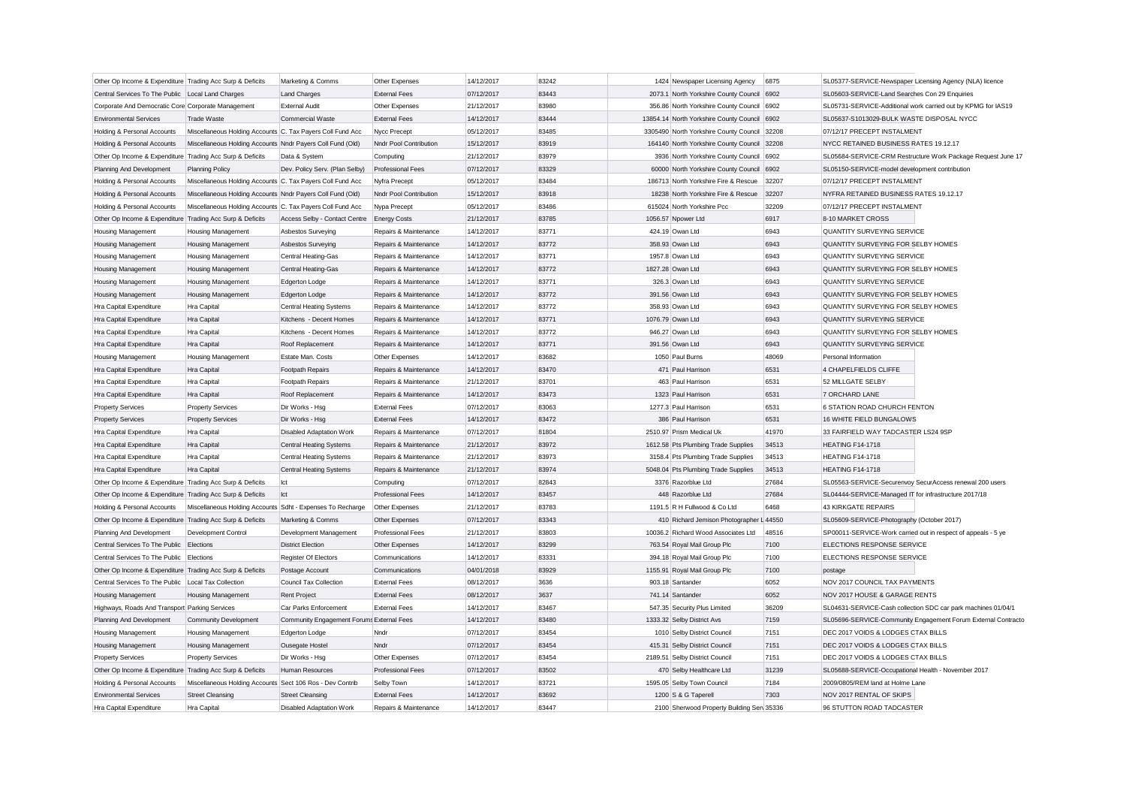| Other Op Income & Expenditure Trading Acc Surp & Deficits |                                                            | Marketing & Comms                         | Other Expenses           | 14/12/2017 | 83242 | 1424 Newspaper Licensing Agency              | 6875  | SL05377-SERVICE-Newspaper Licensing Agency (NLA) licence      |
|-----------------------------------------------------------|------------------------------------------------------------|-------------------------------------------|--------------------------|------------|-------|----------------------------------------------|-------|---------------------------------------------------------------|
| Central Services To The Public Local Land Charges         |                                                            | <b>Land Charges</b>                       | <b>External Fees</b>     | 07/12/2017 | 83443 | 2073.1 North Yorkshire County Council 6902   |       | SL05603-SERVICE-Land Searches Con 29 Enquiries                |
| Corporate And Democratic Core Corporate Management        |                                                            | <b>External Audit</b>                     | Other Expenses           | 21/12/2017 | 83980 | 356.86 North Yorkshire County Council 6902   |       | SL05731-SERVICE-Additional work carried out by KPMG for IAS19 |
| <b>Environmental Services</b>                             | <b>Trade Waste</b>                                         | <b>Commercial Waste</b>                   | <b>External Fees</b>     | 14/12/2017 | 83444 | 13854.14 North Yorkshire County Council 6902 |       | SL05637-S1013029-BULK WASTE DISPOSAL NYCC                     |
| Holding & Personal Accounts                               | Miscellaneous Holding Accounts C. Tax Payers Coll Fund Acc |                                           | Nycc Precept             | 05/12/2017 | 83485 | 3305490 North Yorkshire County Council 32208 |       | 07/12/17 PRECEPT INSTALMENT                                   |
|                                                           | Miscellaneous Holding Accounts Nndr Payers Coll Fund (Old) |                                           | Nndr Pool Contribution   | 15/12/2017 | 83919 | 164140 North Yorkshire County Council 32208  |       | NYCC RETAINED BUSINESS RATES 19.12.17                         |
| Holding & Personal Accounts                               |                                                            |                                           |                          | 21/12/2017 | 83979 | 3936 North Yorkshire County Council 6902     |       |                                                               |
| Other Op Income & Expenditure Trading Acc Surp & Deficits |                                                            | Data & System                             | Computing                |            |       |                                              |       | SL05684-SERVICE-CRM Restructure Work Package Request June 17  |
| Planning And Development                                  | <b>Planning Policy</b>                                     | Dev. Policy Serv. (Plan Selby)            | <b>Professional Fees</b> | 07/12/2017 | 83329 | 60000 North Yorkshire County Council 6902    |       | SL05150-SERVICE-model development contribution                |
| Holding & Personal Accounts                               | Miscellaneous Holding Accounts C. Tax Payers Coll Fund Acc |                                           | Nyfra Precept            | 05/12/2017 | 83484 | 186713 North Yorkshire Fire & Rescue         | 32207 | 07/12/17 PRECEPT INSTALMENT                                   |
| Holding & Personal Accounts                               | Miscellaneous Holding Accounts Nndr Payers Coll Fund (Old) |                                           | Nndr Pool Contribution   | 15/12/2017 | 83918 | 18238 North Yorkshire Fire & Rescue          | 32207 | NYFRA RETAINED BUSINESS RATES 19.12.17                        |
| Holding & Personal Accounts                               | Miscellaneous Holding Accounts C. Tax Payers Coll Fund Acc |                                           | Nypa Precept             | 05/12/2017 | 83486 | 615024 North Yorkshire Pcc                   | 32209 | 07/12/17 PRECEPT INSTALMENT                                   |
| Other Op Income & Expenditure Trading Acc Surp & Deficits |                                                            | Access Selby - Contact Centre             | <b>Energy Costs</b>      | 21/12/2017 | 83785 | 1056.57 Npower Ltd                           | 6917  | 8-10 MARKET CROSS                                             |
| <b>Housing Management</b>                                 | <b>Housing Management</b>                                  | Asbestos Surveying                        | Repairs & Maintenance    | 14/12/2017 | 83771 | 424.19 Owan Ltd                              | 6943  | QUANTITY SURVEYING SERVICE                                    |
| <b>Housing Management</b>                                 | <b>Housing Management</b>                                  | Asbestos Surveying                        | Repairs & Maintenance    | 14/12/2017 | 83772 | 358.93 Owan Ltd                              | 6943  | QUANTITY SURVEYING FOR SELBY HOMES                            |
| <b>Housing Management</b>                                 | <b>Housing Management</b>                                  | Central Heating-Gas                       | Repairs & Maintenance    | 14/12/2017 | 83771 | 1957.8 Owan Ltd                              | 6943  | QUANTITY SURVEYING SERVICE                                    |
| Housing Management                                        | Housing Management                                         | Central Heating-Gas                       | Repairs & Maintenance    | 14/12/2017 | 83772 | 1827.28 Owan Ltd                             | 6943  | QUANTITY SURVEYING FOR SELBY HOMES                            |
| <b>Housing Management</b>                                 | <b>Housing Management</b>                                  | Edgerton Lodge                            | Repairs & Maintenance    | 14/12/2017 | 83771 | 326.3 Owan Ltd                               | 6943  | QUANTITY SURVEYING SERVICE                                    |
| <b>Housing Management</b>                                 | <b>Housing Management</b>                                  | Edgerton Lodge                            | Repairs & Maintenance    | 14/12/2017 | 83772 | 391.56 Owan Ltd                              | 6943  | QUANTITY SURVEYING FOR SELBY HOMES                            |
| Hra Capital Expenditure                                   | Hra Capital                                                | <b>Central Heating Systems</b>            | Repairs & Maintenance    | 14/12/2017 | 83772 | 358.93 Owan Ltd                              | 6943  | QUANTITY SURVEYING FOR SELBY HOMES                            |
| Hra Capital Expenditure                                   | Hra Capital                                                | Kitchens - Decent Homes                   | Repairs & Maintenance    | 14/12/2017 | 83771 | 1076.79 Owan Ltd                             | 6943  | <b>QUANTITY SURVEYING SERVICE</b>                             |
| Hra Capital Expenditure                                   | Hra Capital                                                | Kitchens - Decent Homes                   | Repairs & Maintenance    | 14/12/2017 | 83772 | 946.27 Owan Ltd                              | 6943  | QUANTITY SURVEYING FOR SELBY HOMES                            |
| Hra Capital Expenditure                                   | Hra Capital                                                | Roof Replacement                          | Repairs & Maintenance    | 14/12/2017 | 83771 | 391.56 Owan Ltd                              | 6943  | <b>QUANTITY SURVEYING SERVICE</b>                             |
| <b>Housing Management</b>                                 | Housing Management                                         | Estate Man. Costs                         | Other Expenses           | 14/12/2017 | 83682 | 1050 Paul Burns                              | 48069 | Personal Information                                          |
| Hra Capital Expenditure                                   | Hra Capital                                                | Footpath Repairs                          | Repairs & Maintenance    | 14/12/2017 | 83470 | 471 Paul Harrison                            | 6531  | 4 CHAPELFIELDS CLIFFE                                         |
| Hra Capital Expenditure                                   | Hra Capital                                                | Footpath Repairs                          | Repairs & Maintenance    | 21/12/2017 | 83701 | 463 Paul Harrison                            | 6531  | 52 MILLGATE SELBY                                             |
| Hra Capital Expenditure                                   | Hra Capital                                                | Roof Replacement                          | Repairs & Maintenance    | 14/12/2017 | 83473 | 1323 Paul Harrison                           | 6531  | 7 ORCHARD LANE                                                |
| <b>Property Services</b>                                  | <b>Property Services</b>                                   | Dir Works - Hsg                           | <b>External Fees</b>     | 07/12/2017 | 83063 | 1277.3 Paul Harrison                         | 6531  | 6 STATION ROAD CHURCH FENTON                                  |
| <b>Property Services</b>                                  | <b>Property Services</b>                                   | Dir Works - Hsg                           | <b>External Fees</b>     | 14/12/2017 | 83472 | 386 Paul Harrison                            | 6531  | 16 WHITE FIELD BUNGALOWS                                      |
| Hra Capital Expenditure                                   | Hra Capital                                                | <b>Disabled Adaptation Work</b>           | Repairs & Maintenance    | 07/12/2017 | 81804 | 2510.97 Prism Medical Uk                     | 41970 | 33 FAIRFIELD WAY TADCASTER LS24 9SP                           |
| Hra Capital Expenditure                                   | Hra Capital                                                | <b>Central Heating Systems</b>            | Repairs & Maintenance    | 21/12/2017 | 83972 | 1612.58 Pts Plumbing Trade Supplies          | 34513 | <b>HEATING F14-1718</b>                                       |
| Hra Capital Expenditure                                   | Hra Capital                                                | Central Heating Systems                   | Repairs & Maintenance    | 21/12/2017 | 83973 | 3158.4 Pts Plumbing Trade Supplies           | 34513 | <b>HEATING F14-1718</b>                                       |
| Hra Capital Expenditure                                   | Hra Capital                                                | <b>Central Heating Systems</b>            | Repairs & Maintenance    | 21/12/2017 | 83974 | 5048.04 Pts Plumbing Trade Supplies          | 34513 | <b>HEATING F14-1718</b>                                       |
| Other Op Income & Expenditure Trading Acc Surp & Deficits |                                                            | Ict                                       | Computing                | 07/12/2017 | 82843 | 3376 Razorblue Ltd                           | 27684 | SL05563-SERVICE-Securenvoy SecurAccess renewal 200 users      |
| Other Op Income & Expenditure Trading Acc Surp & Deficits |                                                            | Ict                                       | <b>Professional Fees</b> | 14/12/2017 | 83457 | 448 Razorblue Ltd                            | 27684 | SL04444-SERVICE-Managed IT for infrastructure 2017/18         |
| Holding & Personal Accounts                               | Miscellaneous Holding Accounts Sdht - Expenses To Recharge |                                           | Other Expenses           | 21/12/2017 | 83783 | 1191.5 R H Fullwood & Co Ltd                 | 6468  | 43 KIRKGATE REPAIRS                                           |
| Other Op Income & Expenditure Trading Acc Surp & Deficits |                                                            | Marketing & Comms                         | Other Expenses           | 07/12/2017 | 83343 | 410 Richard Jemison Photographer L 44550     |       | SL05609-SERVICE-Photography (October 2017)                    |
| Planning And Development                                  | Development Control                                        | Development Management                    | <b>Professional Fees</b> | 21/12/2017 | 83803 | 10036.2 Richard Wood Associates Ltd          | 48516 | SP00011-SERVICE-Work carried out in respect of appeals - 5 ye |
| Central Services To The Public                            | Elections                                                  | <b>District Election</b>                  | Other Expenses           | 14/12/2017 | 83299 | 763.54 Royal Mail Group Plc                  | 7100  | ELECTIONS RESPONSE SERVICE                                    |
| Central Services To The Public                            | Elections                                                  | Register Of Electors                      | Communications           | 14/12/2017 | 83331 | 394.18 Royal Mail Group Plc                  | 7100  | ELECTIONS RESPONSE SERVICE                                    |
| Other Op Income & Expenditure Trading Acc Surp & Deficits |                                                            | Postage Account                           | Communications           | 04/01/2018 | 83929 | 1155.91 Royal Mail Group Plc                 | 7100  | postage                                                       |
| Central Services To The Public                            | Local Tax Collection                                       | Council Tax Collection                    | <b>External Fees</b>     | 08/12/2017 | 3636  | 903.18 Santander                             | 6052  | NOV 2017 COUNCIL TAX PAYMENTS                                 |
| <b>Housing Management</b>                                 | Housing Management                                         | Rent Project                              | <b>External Fees</b>     | 08/12/2017 | 3637  | 741.14 Santander                             | 6052  | NOV 2017 HOUSE & GARAGE RENTS                                 |
| Highways, Roads And Transport Parking Services            |                                                            | Car Parks Enforcement                     | <b>External Fees</b>     | 14/12/2017 | 83467 | 547.35 Security Plus Limited                 | 36209 | SL04631-SERVICE-Cash collection SDC car park machines 01/04/1 |
| Planning And Development                                  | Community Development                                      | Community Engagement Forums External Fees |                          | 14/12/2017 | 83480 | 1333.32 Selby District Avs                   | 7159  | SL05696-SERVICE-Community Engagement Forum External Contracto |
| <b>Housing Management</b>                                 | <b>Housing Management</b>                                  | Edgerton Lodge                            | Nndr                     | 07/12/2017 | 83454 | 1010 Selby District Council                  | 7151  | DEC 2017 VOIDS & LODGES CTAX BILLS                            |
| Housing Management                                        | <b>Housing Management</b>                                  | Ousegate Hostel                           | Nndr                     | 07/12/2017 | 83454 | 415.31 Selby District Council                | 7151  | DEC 2017 VOIDS & LODGES CTAX BILLS                            |
| <b>Property Services</b>                                  | <b>Property Services</b>                                   | Dir Works - Hsa                           | Other Expenses           | 07/12/2017 | 83454 | 2189.51 Selby District Council               | 7151  | DEC 2017 VOIDS & LODGES CTAX BILLS                            |
| Other Op Income & Expenditure                             | Trading Acc Surp & Deficits                                | Human Resources                           | <b>Professional Fees</b> | 07/12/2017 | 83502 | 470 Selby Healthcare Ltd                     | 31239 | SL05688-SERVICE-Occupational Health - November 2017           |
|                                                           |                                                            |                                           |                          |            |       |                                              | 7184  | 2009/0805/REM land at Holme Lane                              |
| Holding & Personal Accounts                               | Miscellaneous Holding Accounts Sect 106 Ros - Dev Contrib  |                                           | Selby Town               | 14/12/2017 | 83721 | 1595.05 Selby Town Council                   |       |                                                               |
| <b>Environmental Services</b>                             | <b>Street Cleansing</b>                                    | <b>Street Cleansing</b>                   | <b>External Fees</b>     | 14/12/2017 | 83692 | 1200 S & G Taperell                          | 7303  | NOV 2017 RENTAL OF SKIPS                                      |
| Hra Capital Expenditure                                   | Hra Capital                                                | <b>Disabled Adaptation Work</b>           | Repairs & Maintenance    | 14/12/2017 | 83447 | 2100 Sherwood Property Building Sen 35336    |       | 96 STUTTON ROAD TADCASTER                                     |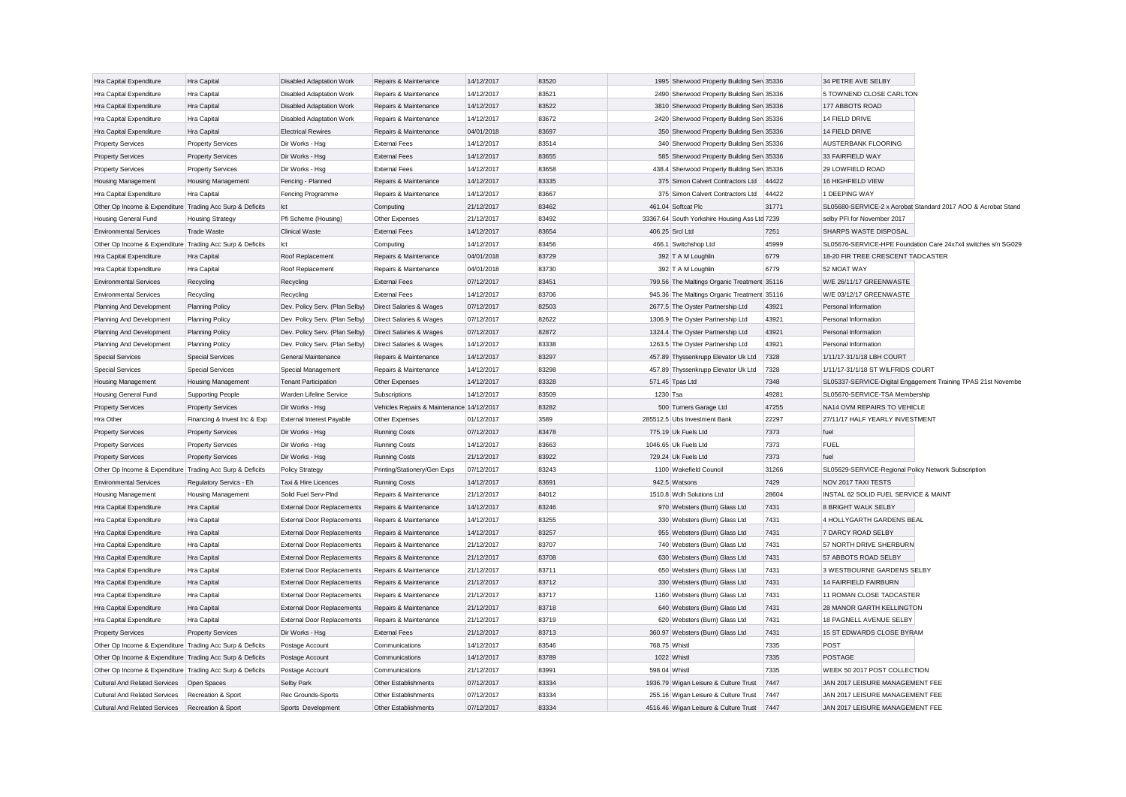| Hra Capital Expenditure                                   | Hra Capital                  | <b>Disabled Adaptation Work</b>   | Repairs & Maintenance                     | 14/12/2017 | 83520 | 1995 Sherwood Property Building Sen 35336     |       | 34 PETRE AVE SELBY                                   |                                                               |
|-----------------------------------------------------------|------------------------------|-----------------------------------|-------------------------------------------|------------|-------|-----------------------------------------------|-------|------------------------------------------------------|---------------------------------------------------------------|
| Hra Capital Expenditure                                   | Hra Capital                  | Disabled Adaptation Work          | Repairs & Maintenance                     | 14/12/2017 | 83521 | 2490 Sherwood Property Building Sen 35336     |       | 5 TOWNEND CLOSE CARLTON                              |                                                               |
| Hra Capital Expenditure                                   | Hra Capital                  | <b>Disabled Adaptation Work</b>   | Repairs & Maintenance                     | 14/12/2017 | 83522 | 3810 Sherwood Property Building Sen 35336     |       | 177 ABBOTS ROAD                                      |                                                               |
| Hra Capital Expenditure                                   | Hra Capital                  | <b>Disabled Adaptation Work</b>   | Repairs & Maintenance                     | 14/12/2017 | 83672 | 2420 Sherwood Property Building Sen 35336     |       | 14 FIELD DRIVE                                       |                                                               |
| Hra Capital Expenditure                                   | Hra Capital                  | <b>Electrical Rewires</b>         | Repairs & Maintenance                     | 04/01/2018 | 83697 | 350 Sherwood Property Building Sen 35336      |       | 14 FIELD DRIVE                                       |                                                               |
| <b>Property Services</b>                                  | <b>Property Services</b>     | Dir Works - Hsg                   | <b>External Fees</b>                      | 14/12/2017 | 83514 | 340 Sherwood Property Building Sen 35336      |       | AUSTERBANK FLOORING                                  |                                                               |
| <b>Property Services</b>                                  | <b>Property Services</b>     | Dir Works - Hsg                   | <b>External Fees</b>                      | 14/12/2017 | 83655 | 585 Sherwood Property Building Sen 35336      |       | 33 FAIRFIELD WAY                                     |                                                               |
| <b>Property Services</b>                                  | <b>Property Services</b>     | Dir Works - Hsg                   | <b>External Fees</b>                      | 14/12/2017 | 83658 | 438.4 Sherwood Property Building Sen 35336    |       | 29 LOWFIELD ROAD                                     |                                                               |
| Housing Management                                        | Housing Management           | Fencing - Planned                 | Repairs & Maintenance                     | 14/12/2017 | 83335 | 375 Simon Calvert Contractors Ltd             | 44422 | 16 HIGHFIELD VIEW                                    |                                                               |
| Hra Capital Expenditure                                   | Hra Capital                  | Fencing Programme                 | Repairs & Maintenance                     | 14/12/2017 | 83667 | 375 Simon Calvert Contractors Ltd             | 44422 | 1 DEEPING WAY                                        |                                                               |
| Other Op Income & Expenditure Trading Acc Surp & Deficits |                              | lct                               | Computing                                 | 21/12/2017 | 83462 | 461.04 Softcat Plc                            | 31771 |                                                      | SL05680-SERVICE-2 x Acrobat Standard 2017 AOO & Acrobat Stand |
| Housing General Fund                                      | <b>Housing Strategy</b>      | Pfi Scheme (Housing)              | Other Expenses                            | 21/12/2017 | 83492 | 33367.64 South Yorkshire Housing Ass Ltd 7239 |       | selby PFI for November 2017                          |                                                               |
| <b>Environmental Services</b>                             | <b>Trade Waste</b>           | <b>Clinical Waste</b>             | <b>External Fees</b>                      | 14/12/2017 | 83654 | 406.25 Srcl Ltd                               | 7251  | SHARPS WASTE DISPOSAL                                |                                                               |
| Other Op Income & Expenditure Trading Acc Surp & Deficits |                              | lct                               | Computing                                 | 14/12/2017 | 83456 | 466.1 Switchshop Ltd                          | 45999 |                                                      | SL05676-SERVICE-HPE Foundation Care 24x7x4 switches s/n SG029 |
| Hra Capital Expenditure                                   | Hra Capital                  | Roof Replacement                  | Repairs & Maintenance                     | 04/01/2018 | 83729 | 392 T A M Loughlin                            | 6779  | 18-20 FIR TREE CRESCENT TADCASTER                    |                                                               |
| Hra Capital Expenditure                                   | Hra Capital                  | Roof Replacement                  | Repairs & Maintenance                     | 04/01/2018 | 83730 | 392 T A M Loughlin                            | 6779  | 52 MOAT WAY                                          |                                                               |
| <b>Environmental Services</b>                             | Recycling                    | Recycling                         | <b>External Fees</b>                      | 07/12/2017 | 83451 | 799.56 The Maltings Organic Treatment 35116   |       | W/E 26/11/17 GREENWASTE                              |                                                               |
| <b>Environmental Services</b>                             | Recycling                    | Recycling                         | <b>External Fees</b>                      | 14/12/2017 | 83706 | 945.36 The Maltings Organic Treatment 35116   |       | W/E 03/12/17 GREENWASTE                              |                                                               |
| Planning And Development                                  | <b>Planning Policy</b>       | Dev. Policy Serv. (Plan Selby)    | Direct Salaries & Wages                   | 07/12/2017 | 82503 | 2677.5 The Oyster Partnership Ltd             | 43921 | Personal Information                                 |                                                               |
| Planning And Development                                  | <b>Planning Policy</b>       | Dev. Policy Serv. (Plan Selby)    | Direct Salaries & Wages                   | 07/12/2017 | 82622 | 1306.9 The Oyster Partnership Ltd             | 43921 | Personal Information                                 |                                                               |
| Planning And Development                                  | <b>Planning Policy</b>       | Dev. Policy Serv. (Plan Selby)    | Direct Salaries & Wages                   | 07/12/2017 | 82872 | 1324.4 The Oyster Partnership Ltd             | 43921 | Personal Information                                 |                                                               |
| Planning And Development                                  | Planning Policy              | Dev. Policy Serv. (Plan Selby)    | Direct Salaries & Wages                   | 14/12/2017 | 83338 | 1263.5 The Oyster Partnership Ltd             | 43921 | Personal Information                                 |                                                               |
| <b>Special Services</b>                                   | <b>Special Services</b>      | General Maintenance               | Repairs & Maintenance                     | 14/12/2017 | 83297 | 457.89 Thyssenkrupp Elevator Uk Ltd           | 7328  | 1/11/17-31/1/18 LBH COURT                            |                                                               |
| <b>Special Services</b>                                   | <b>Special Services</b>      | Special Management                | Repairs & Maintenance                     | 14/12/2017 | 83298 | 457.89 Thyssenkrupp Elevator Uk Ltd           | 7328  | 1/11/17-31/1/18 ST WILFRIDS COURT                    |                                                               |
| <b>Housing Management</b>                                 | Housing Management           | <b>Tenant Participation</b>       | Other Expenses                            | 14/12/2017 | 83328 | 571.45 Tpas Ltd                               | 7348  |                                                      | SL05337-SERVICE-Digital Engagement Training TPAS 21st Novembe |
| Housing General Fund                                      | <b>Supporting People</b>     | Warden Lifeline Service           | Subscriptions                             | 14/12/2017 | 83509 | 1230 Tsa                                      | 49281 | SL05670-SERVICE-TSA Membership                       |                                                               |
| <b>Property Services</b>                                  | <b>Property Services</b>     | Dir Works - Hsg                   | Vehicles Repairs & Maintenance 14/12/2017 |            | 83282 | 500 Turners Garage Ltd                        | 47255 | NA14 OVM REPAIRS TO VEHICLE                          |                                                               |
| Hra Other                                                 | Financing & Invest Inc & Exp | <b>External Interest Payable</b>  | Other Expenses                            | 01/12/2017 | 3589  | 285512.5 Ubs Investment Bank                  | 22297 | 27/11/17 HALF YEARLY INVESTMENT                      |                                                               |
| <b>Property Services</b>                                  | <b>Property Services</b>     | Dir Works - Hsg                   | <b>Running Costs</b>                      | 07/12/2017 | 83478 | 775.19 Uk Fuels Ltd                           | 7373  | fuel                                                 |                                                               |
| <b>Property Services</b>                                  | <b>Property Services</b>     | Dir Works - Hsg                   | <b>Running Costs</b>                      | 14/12/2017 | 83663 | 1046.65 Uk Fuels Ltd                          | 7373  | <b>FUEL</b>                                          |                                                               |
| <b>Property Services</b>                                  | <b>Property Services</b>     | Dir Works - Hsg                   | <b>Running Costs</b>                      | 21/12/2017 | 83922 | 729.24 Uk Fuels Ltd                           | 7373  | fuel                                                 |                                                               |
| Other Op Income & Expenditure Trading Acc Surp & Deficits |                              | <b>Policy Strategy</b>            | Printing/Stationery/Gen Exps              | 07/12/2017 | 83243 | 1100 Wakefield Council                        | 31266 | SL05629-SERVICE-Regional Policy Network Subscription |                                                               |
| <b>Environmental Services</b>                             | Regulatory Servics - Eh      | Taxi & Hire Licences              | <b>Running Costs</b>                      | 14/12/2017 | 83691 | 942.5 Watsons                                 | 7429  | <b>NOV 2017 TAXI TESTS</b>                           |                                                               |
| Housing Management                                        | Housing Management           | Solid Fuel Serv-PInd              | Repairs & Maintenance                     | 21/12/2017 | 84012 | 1510.8 Wdh Solutions Ltd                      | 28604 | INSTAL 62 SOLID FUEL SERVICE & MAINT                 |                                                               |
| Hra Capital Expenditure                                   | Hra Capital                  | <b>External Door Replacements</b> | Repairs & Maintenance                     | 14/12/2017 | 83246 | 970 Websters (Burn) Glass Ltd                 | 7431  | 8 BRIGHT WALK SELBY                                  |                                                               |
| Hra Capital Expenditure                                   | Hra Capital                  | <b>External Door Replacements</b> | Repairs & Maintenance                     | 14/12/2017 | 83255 | 330 Websters (Burn) Glass Ltd                 | 7431  | 4 HOLLYGARTH GARDENS BEAL                            |                                                               |
| Hra Capital Expenditure                                   | Hra Capital                  | <b>External Door Replacements</b> | Repairs & Maintenance                     | 14/12/2017 | 83257 | 955 Websters (Burn) Glass Ltd                 | 7431  | 7 DARCY ROAD SELBY                                   |                                                               |
| Hra Capital Expenditure                                   | Hra Capital                  | <b>External Door Replacements</b> | Repairs & Maintenance                     | 21/12/2017 | 83707 | 740 Websters (Burn) Glass Ltd                 | 7431  | 57 NORTH DRIVE SHERBURN                              |                                                               |
| Hra Capital Expenditure                                   | Hra Capital                  | <b>External Door Replacements</b> | Repairs & Maintenance                     | 21/12/2017 | 83708 | 630 Websters (Burn) Glass Ltd                 | 7431  | 57 ABBOTS ROAD SELBY                                 |                                                               |
| Hra Capital Expenditure                                   | Hra Capital                  | <b>External Door Replacements</b> | Repairs & Maintenance                     | 21/12/2017 | 83711 | 650 Websters (Burn) Glass Ltd                 | 7431  | 3 WESTBOURNE GARDENS SELBY                           |                                                               |
| Hra Capital Expenditure                                   | Hra Capital                  | <b>External Door Replacements</b> | Repairs & Maintenance                     | 21/12/2017 | 83712 | 330 Websters (Burn) Glass Ltd                 | 7431  | 14 FAIRFIELD FAIRBURN                                |                                                               |
| Hra Capital Expenditure                                   | <b>Hra Capital</b>           | <b>External Door Replacements</b> | Repairs & Maintenance                     | 21/12/2017 | 83717 | 1160 Websters (Burn) Glass Ltd                | 7431  | 11 ROMAN CLOSE TADCASTER                             |                                                               |
| Hra Capital Expenditure                                   | Hra Capital                  | <b>External Door Replacements</b> | Repairs & Maintenance                     | 21/12/2017 | 83718 | 640 Websters (Burn) Glass Ltd                 | 7431  | 28 MANOR GARTH KELLINGTON                            |                                                               |
| Hra Capital Expenditure                                   | Hra Capital                  | <b>External Door Replacements</b> | Repairs & Maintenance                     | 21/12/2017 | 83719 | 620 Websters (Burn) Glass Ltd                 | 7431  | 18 PAGNELL AVENUE SELBY                              |                                                               |
| <b>Property Services</b>                                  | <b>Property Services</b>     | Dir Works - Hsg                   | <b>External Fees</b>                      | 21/12/2017 | 83713 | 360.97 Websters (Burn) Glass Ltd              | 7431  | 15 ST EDWARDS CLOSE BYRAM                            |                                                               |
| Other Op Income & Expenditure Trading Acc Surp & Deficits |                              | Postage Account                   | Communications                            | 14/12/2017 | 83546 | 768.75 Whistl                                 | 7335  | POST                                                 |                                                               |
| Other Op Income & Expenditure Trading Acc Surp & Deficits |                              | Postage Account                   | Communications                            | 14/12/2017 | 83789 | 1022 Whistl                                   | 7335  | <b>POSTAGE</b>                                       |                                                               |
| Other Op Income & Expenditure Trading Acc Surp & Deficits |                              | Postage Account                   | Communications                            | 21/12/2017 | 83991 | 598.04 Whistl                                 | 7335  | WEEK 50 2017 POST COLLECTION                         |                                                               |
| <b>Cultural And Related Services</b>                      | Open Spaces                  | Selby Park                        | Other Establishments                      | 07/12/2017 | 83334 | 1936.79 Wigan Leisure & Culture Trust         | 7447  | JAN 2017 LEISURE MANAGEMENT FEE                      |                                                               |
| <b>Cultural And Related Services</b>                      | Recreation & Sport           | Rec Grounds-Sports                | Other Establishments                      | 07/12/2017 | 83334 | 255.16 Wigan Leisure & Culture Trust          | 7447  | JAN 2017 LEISURE MANAGEMENT FEE                      |                                                               |
| Cultural And Related Services                             | Recreation & Sport           | Sports Development                | Other Establishments                      | 07/12/2017 | 83334 | 4516.46 Wigan Leisure & Culture Trust         | 7447  | JAN 2017 LEISURE MANAGEMENT FEE                      |                                                               |
|                                                           |                              |                                   |                                           |            |       |                                               |       |                                                      |                                                               |